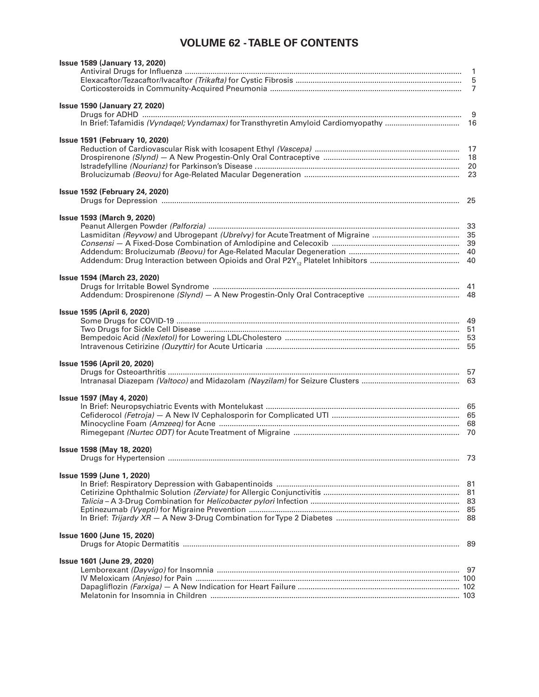## **VOLUME 62 - TABLE OF CONTENTS**

| <b>Issue 1589 (January 13, 2020)</b>  |     |
|---------------------------------------|-----|
|                                       |     |
|                                       |     |
|                                       |     |
|                                       |     |
| <b>Issue 1590 (January 27, 2020)</b>  |     |
|                                       |     |
|                                       |     |
|                                       |     |
| <b>Issue 1591 (February 10, 2020)</b> |     |
|                                       |     |
|                                       |     |
|                                       |     |
|                                       |     |
|                                       |     |
| <b>Issue 1592 (February 24, 2020)</b> |     |
|                                       |     |
|                                       |     |
| <b>Issue 1593 (March 9, 2020)</b>     |     |
|                                       |     |
|                                       |     |
|                                       |     |
|                                       |     |
|                                       |     |
|                                       |     |
|                                       |     |
| <b>Issue 1594 (March 23, 2020)</b>    |     |
|                                       |     |
|                                       |     |
|                                       |     |
| Issue 1595 (April 6, 2020)            |     |
|                                       |     |
|                                       |     |
|                                       |     |
|                                       |     |
|                                       |     |
| <b>Issue 1596 (April 20, 2020)</b>    |     |
|                                       |     |
|                                       |     |
|                                       |     |
| Issue 1597 (May 4, 2020)              |     |
|                                       |     |
|                                       |     |
|                                       |     |
|                                       |     |
|                                       |     |
| Issue 1598 (May 18, 2020)             |     |
|                                       |     |
|                                       |     |
| Issue 1599 (June 1, 2020)             |     |
|                                       |     |
|                                       |     |
|                                       |     |
|                                       |     |
|                                       |     |
|                                       |     |
| <b>Issue 1600 (June 15, 2020)</b>     |     |
|                                       | -89 |
|                                       |     |
| <b>Issue 1601 (June 29, 2020)</b>     |     |
|                                       |     |
|                                       |     |
|                                       |     |
|                                       |     |
|                                       |     |